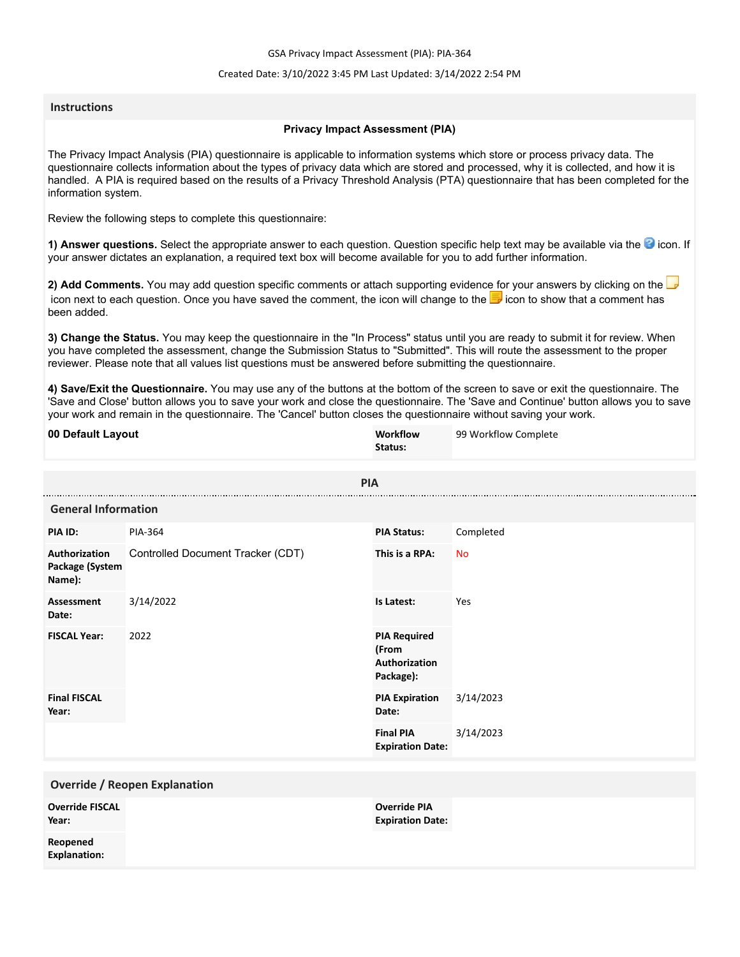GSA Privacy Impact Assessment (PIA): PIA-364

### Created Date: 3/10/2022 3:45 PM Last Updated: 3/14/2022 2:54 PM

### **Instructions**

### **Privacy Impact Assessment (PIA)**

The Privacy Impact Analysis (PIA) questionnaire is applicable to information systems which store or process privacy data. The questionnaire collects information about the types of privacy data which are stored and processed, why it is collected, and how it is handled. A PIA is required based on the results of a Privacy Threshold Analysis (PTA) questionnaire that has been completed for the information system.

Review the following steps to complete this questionnaire:

1) Answer questions. Select the appropriate answer to each question. Question specific help text may be available via the <sup>3</sup> icon. If your answer dictates an explanation, a required text box will become available for you to add further information.

**2) Add Comments.** You may add question specific comments or attach supporting evidence for your answers by clicking on the icon next to each question. Once you have saved the comment, the icon will change to the **i** icon to show that a comment has been added.

**3) Change the Status.** You may keep the questionnaire in the "In Process" status until you are ready to submit it for review. When you have completed the assessment, change the Submission Status to "Submitted". This will route the assessment to the proper reviewer. Please note that all values list questions must be answered before submitting the questionnaire.

**4) Save/Exit the Questionnaire.** You may use any of the buttons at the bottom of the screen to save or exit the questionnaire. The 'Save and Close' button allows you to save your work and close the questionnaire. The 'Save and Continue' button allows you to save your work and remain in the questionnaire. The 'Cancel' button closes the questionnaire without saving your work.

| 00 Default Layout                          |                                   | Workflow<br>Status:                                        | 99 Workflow Complete |
|--------------------------------------------|-----------------------------------|------------------------------------------------------------|----------------------|
| <b>PIA</b>                                 |                                   |                                                            |                      |
| <b>General Information</b>                 |                                   |                                                            |                      |
| PIA ID:                                    | PIA-364                           | <b>PIA Status:</b>                                         | Completed            |
| Authorization<br>Package (System<br>Name): | Controlled Document Tracker (CDT) | This is a RPA:                                             | <b>No</b>            |
| <b>Assessment</b><br>Date:                 | 3/14/2022                         | Is Latest:                                                 | Yes                  |
| <b>FISCAL Year:</b>                        | 2022                              | <b>PIA Required</b><br>(From<br>Authorization<br>Package): |                      |
| <b>Final FISCAL</b><br>Year:               |                                   | <b>PIA Expiration</b><br>Date:                             | 3/14/2023            |
|                                            |                                   | <b>Final PIA</b><br><b>Expiration Date:</b>                | 3/14/2023            |
| <b>Override / Reopen Explanation</b>       |                                   |                                                            |                      |
| <b>Override FISCAL</b><br>Year:            |                                   |                                                            |                      |
| Reopened<br><b>Explanation:</b>            |                                   |                                                            |                      |
|                                            |                                   |                                                            |                      |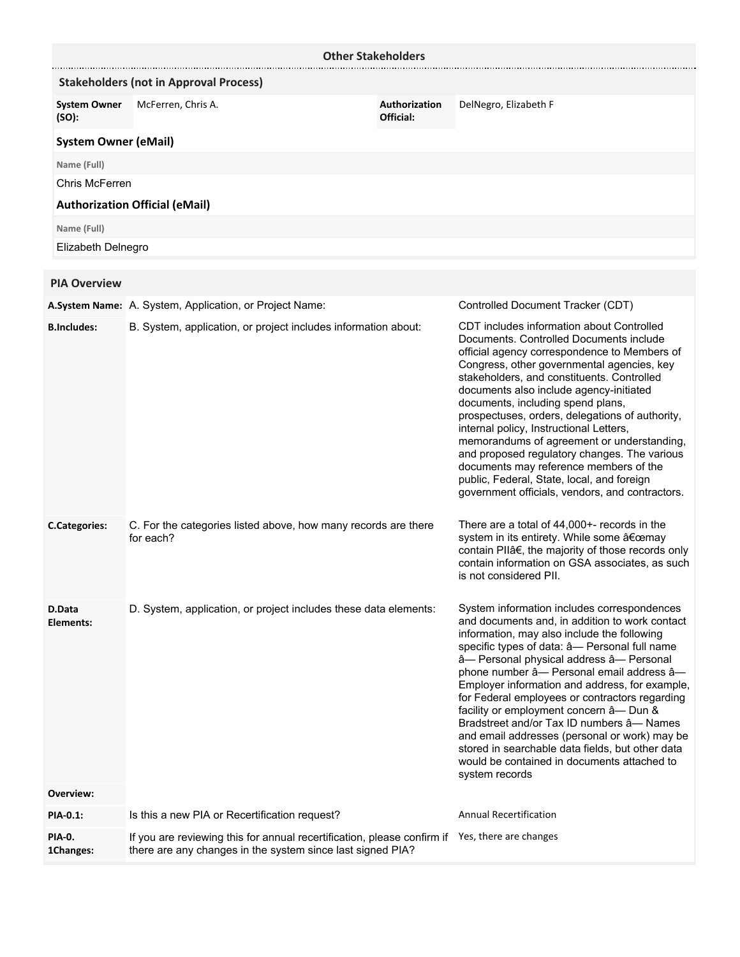|                              | <b>Other Stakeholders</b>                                                                                                                                    |                            |                                                                                                                                                                                                                                                                                                                                                                                                                                                                                                                                                                                                                                                          |
|------------------------------|--------------------------------------------------------------------------------------------------------------------------------------------------------------|----------------------------|----------------------------------------------------------------------------------------------------------------------------------------------------------------------------------------------------------------------------------------------------------------------------------------------------------------------------------------------------------------------------------------------------------------------------------------------------------------------------------------------------------------------------------------------------------------------------------------------------------------------------------------------------------|
|                              | <b>Stakeholders (not in Approval Process)</b>                                                                                                                |                            |                                                                                                                                                                                                                                                                                                                                                                                                                                                                                                                                                                                                                                                          |
| <b>System Owner</b><br>(SO): | McFerren, Chris A.                                                                                                                                           | Authorization<br>Official: | DelNegro, Elizabeth F                                                                                                                                                                                                                                                                                                                                                                                                                                                                                                                                                                                                                                    |
| <b>System Owner (eMail)</b>  |                                                                                                                                                              |                            |                                                                                                                                                                                                                                                                                                                                                                                                                                                                                                                                                                                                                                                          |
| Name (Full)                  |                                                                                                                                                              |                            |                                                                                                                                                                                                                                                                                                                                                                                                                                                                                                                                                                                                                                                          |
| Chris McFerren               |                                                                                                                                                              |                            |                                                                                                                                                                                                                                                                                                                                                                                                                                                                                                                                                                                                                                                          |
|                              | <b>Authorization Official (eMail)</b>                                                                                                                        |                            |                                                                                                                                                                                                                                                                                                                                                                                                                                                                                                                                                                                                                                                          |
| Name (Full)                  |                                                                                                                                                              |                            |                                                                                                                                                                                                                                                                                                                                                                                                                                                                                                                                                                                                                                                          |
| Elizabeth Delnegro           |                                                                                                                                                              |                            |                                                                                                                                                                                                                                                                                                                                                                                                                                                                                                                                                                                                                                                          |
|                              |                                                                                                                                                              |                            |                                                                                                                                                                                                                                                                                                                                                                                                                                                                                                                                                                                                                                                          |
| <b>PIA Overview</b>          |                                                                                                                                                              |                            |                                                                                                                                                                                                                                                                                                                                                                                                                                                                                                                                                                                                                                                          |
|                              | A.System Name: A. System, Application, or Project Name:                                                                                                      |                            | Controlled Document Tracker (CDT)                                                                                                                                                                                                                                                                                                                                                                                                                                                                                                                                                                                                                        |
| <b>B.Includes:</b>           | B. System, application, or project includes information about:                                                                                               |                            | CDT includes information about Controlled<br>Documents. Controlled Documents include<br>official agency correspondence to Members of<br>Congress, other governmental agencies, key<br>stakeholders, and constituents. Controlled<br>documents also include agency-initiated<br>documents, including spend plans,<br>prospectuses, orders, delegations of authority,<br>internal policy, Instructional Letters,<br>memorandums of agreement or understanding,<br>and proposed regulatory changes. The various<br>documents may reference members of the<br>public, Federal, State, local, and foreign<br>government officials, vendors, and contractors.  |
| <b>C.Categories:</b>         | C. For the categories listed above, how many records are there<br>for each?                                                                                  |                            | There are a total of 44,000+- records in the<br>system in its entirety. While some "may<br>contain PIIâ€, the majority of those records only<br>contain information on GSA associates, as such<br>is not considered PII.                                                                                                                                                                                                                                                                                                                                                                                                                                 |
| D.Data<br>Elements:          | D. System, application, or project includes these data elements:                                                                                             |                            | System information includes correspondences<br>and documents and, in addition to work contact<br>information, may also include the following<br>specific types of data: â- Personal full name<br>â- Personal physical address â- Personal<br>phone number â- Personal email address â-<br>Employer information and address, for example,<br>for Federal employees or contractors regarding<br>facility or employment concern â- Dun &<br>Bradstreet and/or Tax ID numbers â- Names<br>and email addresses (personal or work) may be<br>stored in searchable data fields, but other data<br>would be contained in documents attached to<br>system records |
| Overview:                    |                                                                                                                                                              |                            |                                                                                                                                                                                                                                                                                                                                                                                                                                                                                                                                                                                                                                                          |
| PIA-0.1:                     | Is this a new PIA or Recertification request?                                                                                                                |                            | <b>Annual Recertification</b>                                                                                                                                                                                                                                                                                                                                                                                                                                                                                                                                                                                                                            |
| PIA-0.<br>1Changes:          | If you are reviewing this for annual recertification, please confirm if Yes, there are changes<br>there are any changes in the system since last signed PIA? |                            |                                                                                                                                                                                                                                                                                                                                                                                                                                                                                                                                                                                                                                                          |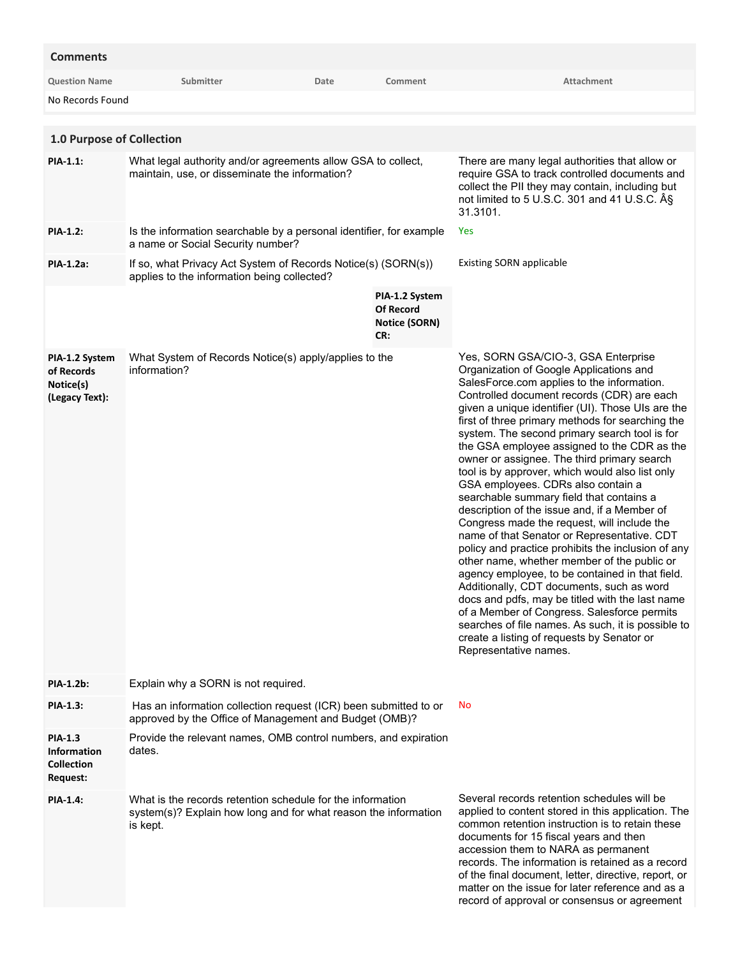## **Comments**

| <b>Question Name</b>                                                         | Submitter                                                                                                                                 | Date | Comment                                                           | Attachment                                                                                                                                                                                                                                                                                                                                                                                                                                                                                                                                                                                                                                                                                                                                                                                                                                                                                                                                                                                                                                                                                                                                                |
|------------------------------------------------------------------------------|-------------------------------------------------------------------------------------------------------------------------------------------|------|-------------------------------------------------------------------|-----------------------------------------------------------------------------------------------------------------------------------------------------------------------------------------------------------------------------------------------------------------------------------------------------------------------------------------------------------------------------------------------------------------------------------------------------------------------------------------------------------------------------------------------------------------------------------------------------------------------------------------------------------------------------------------------------------------------------------------------------------------------------------------------------------------------------------------------------------------------------------------------------------------------------------------------------------------------------------------------------------------------------------------------------------------------------------------------------------------------------------------------------------|
| No Records Found                                                             |                                                                                                                                           |      |                                                                   |                                                                                                                                                                                                                                                                                                                                                                                                                                                                                                                                                                                                                                                                                                                                                                                                                                                                                                                                                                                                                                                                                                                                                           |
|                                                                              |                                                                                                                                           |      |                                                                   |                                                                                                                                                                                                                                                                                                                                                                                                                                                                                                                                                                                                                                                                                                                                                                                                                                                                                                                                                                                                                                                                                                                                                           |
| 1.0 Purpose of Collection                                                    |                                                                                                                                           |      |                                                                   |                                                                                                                                                                                                                                                                                                                                                                                                                                                                                                                                                                                                                                                                                                                                                                                                                                                                                                                                                                                                                                                                                                                                                           |
| <b>PIA-1.1:</b>                                                              | What legal authority and/or agreements allow GSA to collect,<br>maintain, use, or disseminate the information?                            |      |                                                                   | There are many legal authorities that allow or<br>require GSA to track controlled documents and<br>collect the PII they may contain, including but<br>not limited to 5 U.S.C. 301 and 41 U.S.C. §<br>31.3101.                                                                                                                                                                                                                                                                                                                                                                                                                                                                                                                                                                                                                                                                                                                                                                                                                                                                                                                                             |
| <b>PIA-1.2:</b>                                                              | Is the information searchable by a personal identifier, for example<br>a name or Social Security number?                                  |      |                                                                   | Yes                                                                                                                                                                                                                                                                                                                                                                                                                                                                                                                                                                                                                                                                                                                                                                                                                                                                                                                                                                                                                                                                                                                                                       |
| PIA-1.2a:                                                                    | If so, what Privacy Act System of Records Notice(s) (SORN(s))<br>applies to the information being collected?                              |      |                                                                   | <b>Existing SORN applicable</b>                                                                                                                                                                                                                                                                                                                                                                                                                                                                                                                                                                                                                                                                                                                                                                                                                                                                                                                                                                                                                                                                                                                           |
|                                                                              |                                                                                                                                           |      | PIA-1.2 System<br><b>Of Record</b><br><b>Notice (SORN)</b><br>CR: |                                                                                                                                                                                                                                                                                                                                                                                                                                                                                                                                                                                                                                                                                                                                                                                                                                                                                                                                                                                                                                                                                                                                                           |
| PIA-1.2 System<br>of Records<br>Notice(s)<br>(Legacy Text):                  | What System of Records Notice(s) apply/applies to the<br>information?                                                                     |      |                                                                   | Yes, SORN GSA/CIO-3, GSA Enterprise<br>Organization of Google Applications and<br>SalesForce.com applies to the information.<br>Controlled document records (CDR) are each<br>given a unique identifier (UI). Those UIs are the<br>first of three primary methods for searching the<br>system. The second primary search tool is for<br>the GSA employee assigned to the CDR as the<br>owner or assignee. The third primary search<br>tool is by approver, which would also list only<br>GSA employees. CDRs also contain a<br>searchable summary field that contains a<br>description of the issue and, if a Member of<br>Congress made the request, will include the<br>name of that Senator or Representative. CDT<br>policy and practice prohibits the inclusion of any<br>other name, whether member of the public or<br>agency employee, to be contained in that field.<br>Additionally, CDT documents, such as word<br>docs and pdfs, may be titled with the last name<br>of a Member of Congress. Salesforce permits<br>searches of file names. As such, it is possible to<br>create a listing of requests by Senator or<br>Representative names. |
| <b>PIA-1.2b:</b>                                                             | Explain why a SORN is not required.                                                                                                       |      |                                                                   |                                                                                                                                                                                                                                                                                                                                                                                                                                                                                                                                                                                                                                                                                                                                                                                                                                                                                                                                                                                                                                                                                                                                                           |
| <b>PIA-1.3:</b>                                                              | Has an information collection request (ICR) been submitted to or<br>approved by the Office of Management and Budget (OMB)?                |      |                                                                   | No                                                                                                                                                                                                                                                                                                                                                                                                                                                                                                                                                                                                                                                                                                                                                                                                                                                                                                                                                                                                                                                                                                                                                        |
| <b>PIA-1.3</b><br><b>Information</b><br><b>Collection</b><br><b>Request:</b> | Provide the relevant names, OMB control numbers, and expiration<br>dates.                                                                 |      |                                                                   |                                                                                                                                                                                                                                                                                                                                                                                                                                                                                                                                                                                                                                                                                                                                                                                                                                                                                                                                                                                                                                                                                                                                                           |
| <b>PIA-1.4:</b>                                                              | What is the records retention schedule for the information<br>system(s)? Explain how long and for what reason the information<br>is kept. |      |                                                                   | Several records retention schedules will be<br>applied to content stored in this application. The<br>common retention instruction is to retain these<br>documents for 15 fiscal years and then<br>accession them to NARA as permanent<br>records. The information is retained as a record<br>of the final document, letter, directive, report, or<br>matter on the issue for later reference and as a<br>record of approval or consensus or agreement                                                                                                                                                                                                                                                                                                                                                                                                                                                                                                                                                                                                                                                                                                     |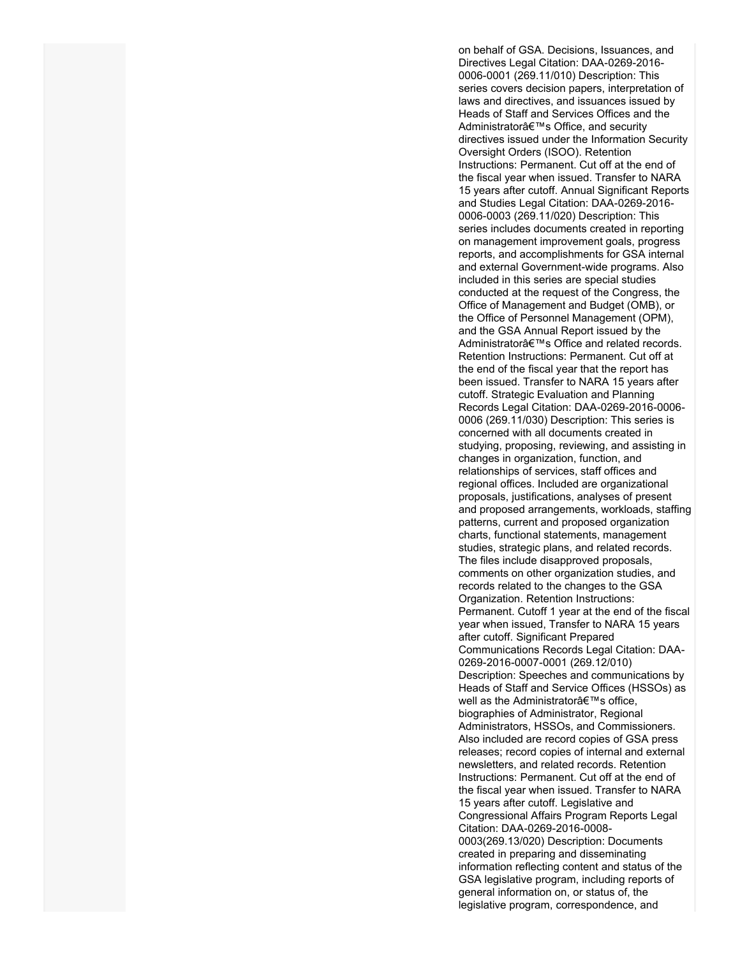on behalf of GSA. Decisions, Issuances, and Directives Legal Citation: DAA-0269-2016- 0006-0001 (269.11/010) Description: This series covers decision papers, interpretation of laws and directives, and issuances issued by Heads of Staff and Services Offices and the Administrator's Office, and security directives issued under the Information Security Oversight Orders (ISOO). Retention Instructions: Permanent. Cut off at the end of the fiscal year when issued. Transfer to NARA 15 years after cutoff. Annual Significant Reports and Studies Legal Citation: DAA-0269-2016- 0006-0003 (269.11/020) Description: This series includes documents created in reporting on management improvement goals, progress reports, and accomplishments for GSA internal and external Government-wide programs. Also included in this series are special studies conducted at the request of the Congress, the Office of Management and Budget (OMB), or the Office of Personnel Management (OPM), and the GSA Annual Report issued by the Administrator's Office and related records. Retention Instructions: Permanent. Cut off at the end of the fiscal year that the report has been issued. Transfer to NARA 15 years after cutoff. Strategic Evaluation and Planning Records Legal Citation: DAA-0269-2016-0006- 0006 (269.11/030) Description: This series is concerned with all documents created in studying, proposing, reviewing, and assisting in changes in organization, function, and relationships of services, staff offices and regional offices. Included are organizational proposals, justifications, analyses of present and proposed arrangements, workloads, staffing patterns, current and proposed organization charts, functional statements, management studies, strategic plans, and related records. The files include disapproved proposals, comments on other organization studies, and records related to the changes to the GSA Organization. Retention Instructions: Permanent. Cutoff 1 year at the end of the fiscal year when issued, Transfer to NARA 15 years after cutoff. Significant Prepared Communications Records Legal Citation: DAA-0269-2016-0007-0001 (269.12/010) Description: Speeches and communications by Heads of Staff and Service Offices (HSSOs) as well as the Administrator's office, biographies of Administrator, Regional Administrators, HSSOs, and Commissioners. Also included are record copies of GSA press releases; record copies of internal and external newsletters, and related records. Retention Instructions: Permanent. Cut off at the end of the fiscal year when issued. Transfer to NARA 15 years after cutoff. Legislative and Congressional Affairs Program Reports Legal Citation: DAA-0269-2016-0008- 0003(269.13/020) Description: Documents created in preparing and disseminating information reflecting content and status of the GSA legislative program, including reports of general information on, or status of, the legislative program, correspondence, and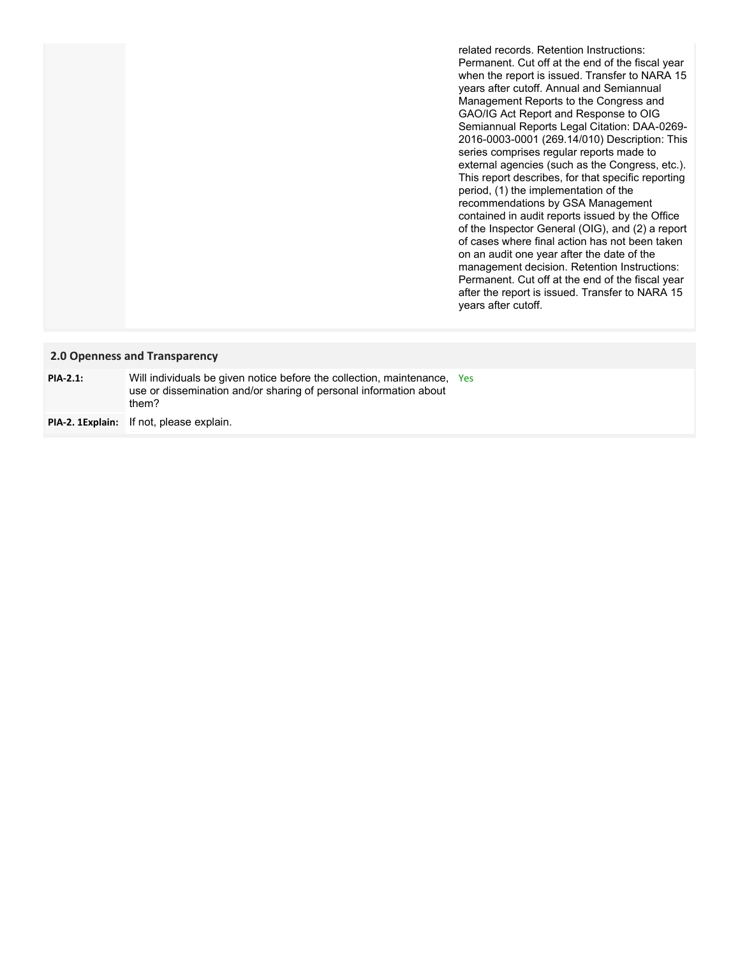related records. Retention Instructions: Permanent. Cut off at the end of the fiscal year when the report is issued. Transfer to NARA 15 years after cutoff. Annual and Semiannual Management Reports to the Congress and GAO/IG Act Report and Response to OIG Semiannual Reports Legal Citation: DAA-0269- 2016-0003-0001 (269.14/010) Description: This series comprises regular reports made to external agencies (such as the Congress, etc.). This report describes, for that specific reporting period, (1) the implementation of the recommendations by GSA Management contained in audit reports issued by the Office of the Inspector General (OIG), and (2) a report of cases where final action has not been taken on an audit one year after the date of the management decision. Retention Instructions: Permanent. Cut off at the end of the fiscal year after the report is issued. Transfer to NARA 15 years after cutoff.

### **2.0 Openness and Transparency**

| $PIA-2.1$ : | Will individuals be given notice before the collection, maintenance, Yes<br>use or dissemination and/or sharing of personal information about<br>them? |  |
|-------------|--------------------------------------------------------------------------------------------------------------------------------------------------------|--|
|             | <b>PIA-2. 1Explain:</b> If not, please explain.                                                                                                        |  |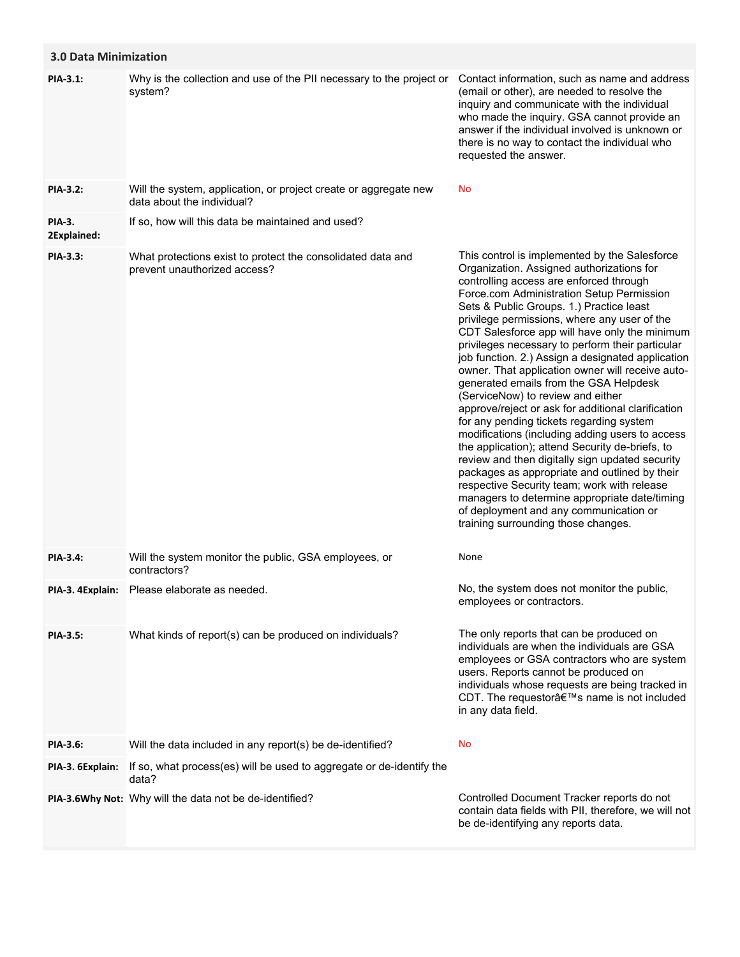| <b>3.0 Data Minimization</b> |                                                                                                |                                                                                                                                                                                                                                                                                                                                                                                                                                                                                                                                                                                                                                                                                                                                                                                                                                                                                                                                                                                                                                                                          |
|------------------------------|------------------------------------------------------------------------------------------------|--------------------------------------------------------------------------------------------------------------------------------------------------------------------------------------------------------------------------------------------------------------------------------------------------------------------------------------------------------------------------------------------------------------------------------------------------------------------------------------------------------------------------------------------------------------------------------------------------------------------------------------------------------------------------------------------------------------------------------------------------------------------------------------------------------------------------------------------------------------------------------------------------------------------------------------------------------------------------------------------------------------------------------------------------------------------------|
| PIA-3.1:                     | Why is the collection and use of the PII necessary to the project or<br>system?                | Contact information, such as name and address<br>(email or other), are needed to resolve the<br>inquiry and communicate with the individual<br>who made the inquiry. GSA cannot provide an<br>answer if the individual involved is unknown or<br>there is no way to contact the individual who<br>requested the answer.                                                                                                                                                                                                                                                                                                                                                                                                                                                                                                                                                                                                                                                                                                                                                  |
| <b>PIA-3.2:</b>              | Will the system, application, or project create or aggregate new<br>data about the individual? | No                                                                                                                                                                                                                                                                                                                                                                                                                                                                                                                                                                                                                                                                                                                                                                                                                                                                                                                                                                                                                                                                       |
| <b>PIA-3.</b><br>2Explained: | If so, how will this data be maintained and used?                                              |                                                                                                                                                                                                                                                                                                                                                                                                                                                                                                                                                                                                                                                                                                                                                                                                                                                                                                                                                                                                                                                                          |
| PIA-3.3:                     | What protections exist to protect the consolidated data and<br>prevent unauthorized access?    | This control is implemented by the Salesforce<br>Organization. Assigned authorizations for<br>controlling access are enforced through<br>Force.com Administration Setup Permission<br>Sets & Public Groups. 1.) Practice least<br>privilege permissions, where any user of the<br>CDT Salesforce app will have only the minimum<br>privileges necessary to perform their particular<br>job function. 2.) Assign a designated application<br>owner. That application owner will receive auto-<br>generated emails from the GSA Helpdesk<br>(ServiceNow) to review and either<br>approve/reject or ask for additional clarification<br>for any pending tickets regarding system<br>modifications (including adding users to access<br>the application); attend Security de-briefs, to<br>review and then digitally sign updated security<br>packages as appropriate and outlined by their<br>respective Security team; work with release<br>managers to determine appropriate date/timing<br>of deployment and any communication or<br>training surrounding those changes. |
| <b>PIA-3.4:</b>              | Will the system monitor the public, GSA employees, or<br>contractors?                          | None                                                                                                                                                                                                                                                                                                                                                                                                                                                                                                                                                                                                                                                                                                                                                                                                                                                                                                                                                                                                                                                                     |
|                              | PIA-3. 4Explain: Please elaborate as needed.                                                   | No, the system does not monitor the public,<br>employees or contractors.                                                                                                                                                                                                                                                                                                                                                                                                                                                                                                                                                                                                                                                                                                                                                                                                                                                                                                                                                                                                 |
| <b>PIA-3.5:</b>              | What kinds of report(s) can be produced on individuals?                                        | The only reports that can be produced on<br>individuals are when the individuals are GSA<br>employees or GSA contractors who are system<br>users. Reports cannot be produced on<br>individuals whose requests are being tracked in<br>CDT. The requestor's name is not included<br>in any data field.                                                                                                                                                                                                                                                                                                                                                                                                                                                                                                                                                                                                                                                                                                                                                                    |
| PIA-3.6:                     | Will the data included in any report(s) be de-identified?                                      | No                                                                                                                                                                                                                                                                                                                                                                                                                                                                                                                                                                                                                                                                                                                                                                                                                                                                                                                                                                                                                                                                       |
| PIA-3. 6Explain:             | If so, what process(es) will be used to aggregate or de-identify the<br>data?                  |                                                                                                                                                                                                                                                                                                                                                                                                                                                                                                                                                                                                                                                                                                                                                                                                                                                                                                                                                                                                                                                                          |
|                              | PIA-3.6Why Not: Why will the data not be de-identified?                                        | Controlled Document Tracker reports do not<br>contain data fields with PII, therefore, we will not<br>be de-identifying any reports data.                                                                                                                                                                                                                                                                                                                                                                                                                                                                                                                                                                                                                                                                                                                                                                                                                                                                                                                                |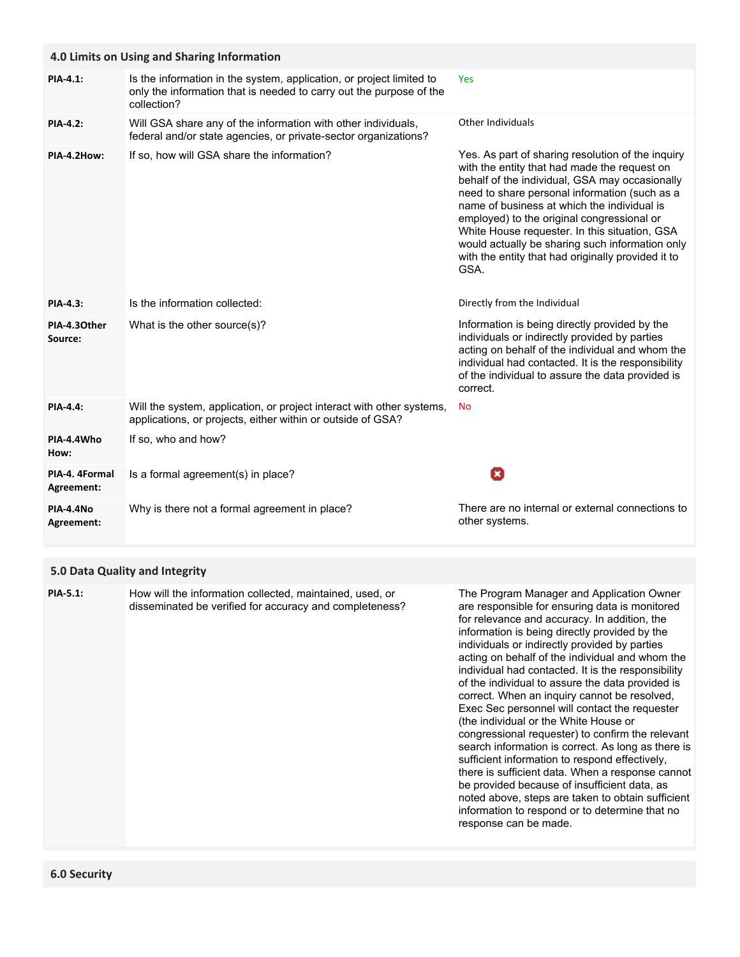|                                | 4.0 Limits on Using and Sharing Information                                                                                                                |                                                                                                                                                                                                                                                                                                                                                                                                                                                                     |  |  |
|--------------------------------|------------------------------------------------------------------------------------------------------------------------------------------------------------|---------------------------------------------------------------------------------------------------------------------------------------------------------------------------------------------------------------------------------------------------------------------------------------------------------------------------------------------------------------------------------------------------------------------------------------------------------------------|--|--|
| PIA-4.1:                       | Is the information in the system, application, or project limited to<br>only the information that is needed to carry out the purpose of the<br>collection? | Yes                                                                                                                                                                                                                                                                                                                                                                                                                                                                 |  |  |
| <b>PIA-4.2:</b>                | Will GSA share any of the information with other individuals,<br>federal and/or state agencies, or private-sector organizations?                           | <b>Other Individuals</b>                                                                                                                                                                                                                                                                                                                                                                                                                                            |  |  |
| PIA-4.2How:                    | If so, how will GSA share the information?                                                                                                                 | Yes. As part of sharing resolution of the inquiry<br>with the entity that had made the request on<br>behalf of the individual, GSA may occasionally<br>need to share personal information (such as a<br>name of business at which the individual is<br>employed) to the original congressional or<br>White House requester. In this situation, GSA<br>would actually be sharing such information only<br>with the entity that had originally provided it to<br>GSA. |  |  |
| PIA-4.3:                       | Is the information collected:                                                                                                                              | Directly from the Individual                                                                                                                                                                                                                                                                                                                                                                                                                                        |  |  |
| PIA-4.30ther<br>Source:        | What is the other source(s)?                                                                                                                               | Information is being directly provided by the<br>individuals or indirectly provided by parties<br>acting on behalf of the individual and whom the<br>individual had contacted. It is the responsibility<br>of the individual to assure the data provided is<br>correct.                                                                                                                                                                                             |  |  |
| <b>PIA-4.4:</b>                | Will the system, application, or project interact with other systems,<br>applications, or projects, either within or outside of GSA?                       | No                                                                                                                                                                                                                                                                                                                                                                                                                                                                  |  |  |
| PIA-4.4Who<br>How:             | If so, who and how?                                                                                                                                        |                                                                                                                                                                                                                                                                                                                                                                                                                                                                     |  |  |
| PIA-4. 4Formal<br>Agreement:   | Is a formal agreement(s) in place?                                                                                                                         | o                                                                                                                                                                                                                                                                                                                                                                                                                                                                   |  |  |
| <b>PIA-4.4No</b><br>Agreement: | Why is there not a formal agreement in place?                                                                                                              | There are no internal or external connections to<br>other systems.                                                                                                                                                                                                                                                                                                                                                                                                  |  |  |

# **5.0 Data Quality and Integrity**

| <b>PIA-5.1:</b> | How will the information collected, maintained, used, or<br>disseminated be verified for accuracy and completeness? | The Program Manager and Application Owner<br>are responsible for ensuring data is monitored<br>for relevance and accuracy. In addition, the<br>information is being directly provided by the<br>individuals or indirectly provided by parties<br>acting on behalf of the individual and whom the<br>individual had contacted. It is the responsibility<br>of the individual to assure the data provided is<br>correct. When an inquiry cannot be resolved,<br>Exec Sec personnel will contact the requester<br>(the individual or the White House or<br>congressional requester) to confirm the relevant<br>search information is correct. As long as there is<br>sufficient information to respond effectively,<br>there is sufficient data. When a response cannot<br>be provided because of insufficient data, as<br>noted above, steps are taken to obtain sufficient<br>information to respond or to determine that no<br>response can be made. |
|-----------------|---------------------------------------------------------------------------------------------------------------------|------------------------------------------------------------------------------------------------------------------------------------------------------------------------------------------------------------------------------------------------------------------------------------------------------------------------------------------------------------------------------------------------------------------------------------------------------------------------------------------------------------------------------------------------------------------------------------------------------------------------------------------------------------------------------------------------------------------------------------------------------------------------------------------------------------------------------------------------------------------------------------------------------------------------------------------------------|
|-----------------|---------------------------------------------------------------------------------------------------------------------|------------------------------------------------------------------------------------------------------------------------------------------------------------------------------------------------------------------------------------------------------------------------------------------------------------------------------------------------------------------------------------------------------------------------------------------------------------------------------------------------------------------------------------------------------------------------------------------------------------------------------------------------------------------------------------------------------------------------------------------------------------------------------------------------------------------------------------------------------------------------------------------------------------------------------------------------------|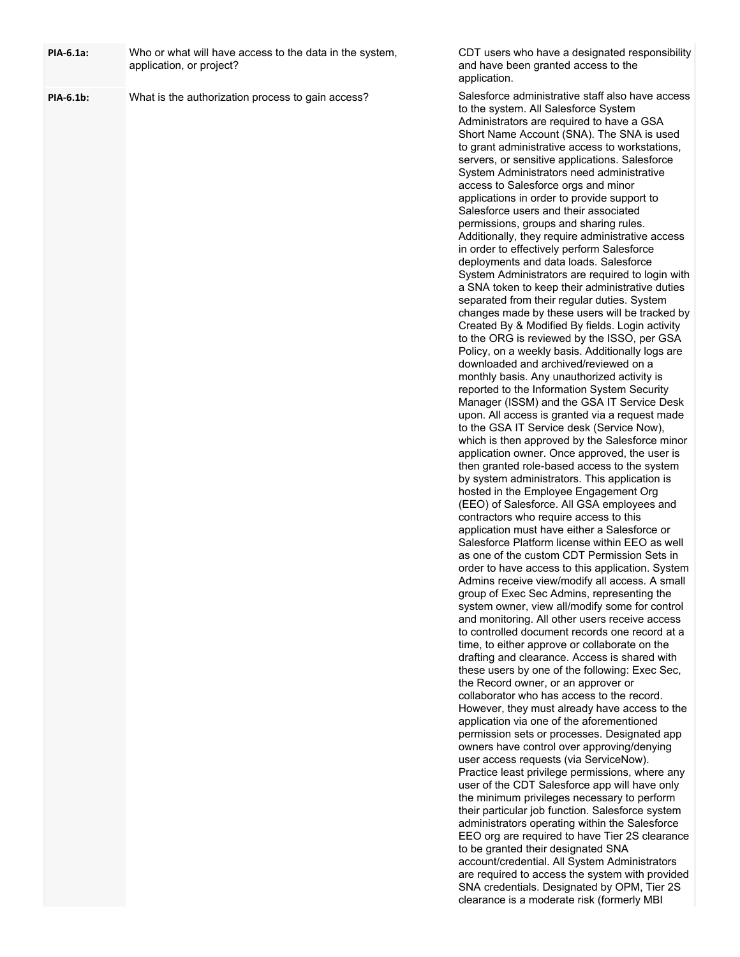| PIA-6.1a: | Who or what will have access to the data in the system,<br>application, or project? | CDT users who have a designated responsibility<br>and have been granted access to the<br>application.                                                                                                                                                                                                                                                                                                                                                                                                                                                                                                                                                                                                                                                                                                                                                                                                                                                                                                                                                                                                                                                                                                                                                                                                                                                                                                                                                                                                                                                                                                                                                                                                                                                                                                                                                                                                                                                                                                                                                                                                                                                                                                                                                                                                                                                                                                                                                                                                                                                                                                                                                                                                                                                                                                                                                                                                                                                                                                                                                                                          |
|-----------|-------------------------------------------------------------------------------------|------------------------------------------------------------------------------------------------------------------------------------------------------------------------------------------------------------------------------------------------------------------------------------------------------------------------------------------------------------------------------------------------------------------------------------------------------------------------------------------------------------------------------------------------------------------------------------------------------------------------------------------------------------------------------------------------------------------------------------------------------------------------------------------------------------------------------------------------------------------------------------------------------------------------------------------------------------------------------------------------------------------------------------------------------------------------------------------------------------------------------------------------------------------------------------------------------------------------------------------------------------------------------------------------------------------------------------------------------------------------------------------------------------------------------------------------------------------------------------------------------------------------------------------------------------------------------------------------------------------------------------------------------------------------------------------------------------------------------------------------------------------------------------------------------------------------------------------------------------------------------------------------------------------------------------------------------------------------------------------------------------------------------------------------------------------------------------------------------------------------------------------------------------------------------------------------------------------------------------------------------------------------------------------------------------------------------------------------------------------------------------------------------------------------------------------------------------------------------------------------------------------------------------------------------------------------------------------------------------------------------------------------------------------------------------------------------------------------------------------------------------------------------------------------------------------------------------------------------------------------------------------------------------------------------------------------------------------------------------------------------------------------------------------------------------------------------------------------|
| PIA-6.1b: | What is the authorization process to gain access?                                   | Salesforce administrative staff also have access<br>to the system. All Salesforce System<br>Administrators are required to have a GSA<br>Short Name Account (SNA). The SNA is used<br>to grant administrative access to workstations,<br>servers, or sensitive applications. Salesforce<br>System Administrators need administrative<br>access to Salesforce orgs and minor<br>applications in order to provide support to<br>Salesforce users and their associated<br>permissions, groups and sharing rules.<br>Additionally, they require administrative access<br>in order to effectively perform Salesforce<br>deployments and data loads. Salesforce<br>System Administrators are required to login with<br>a SNA token to keep their administrative duties<br>separated from their regular duties. System<br>changes made by these users will be tracked by<br>Created By & Modified By fields. Login activity<br>to the ORG is reviewed by the ISSO, per GSA<br>Policy, on a weekly basis. Additionally logs are<br>downloaded and archived/reviewed on a<br>monthly basis. Any unauthorized activity is<br>reported to the Information System Security<br>Manager (ISSM) and the GSA IT Service Desk<br>upon. All access is granted via a request made<br>to the GSA IT Service desk (Service Now),<br>which is then approved by the Salesforce minor<br>application owner. Once approved, the user is<br>then granted role-based access to the system<br>by system administrators. This application is<br>hosted in the Employee Engagement Org<br>(EEO) of Salesforce. All GSA employees and<br>contractors who require access to this<br>application must have either a Salesforce or<br>Salesforce Platform license within EEO as well<br>as one of the custom CDT Permission Sets in<br>order to have access to this application. System<br>Admins receive view/modify all access. A small<br>group of Exec Sec Admins, representing the<br>system owner, view all/modify some for control<br>and monitoring. All other users receive access<br>to controlled document records one record at a<br>time, to either approve or collaborate on the<br>drafting and clearance. Access is shared with<br>these users by one of the following: Exec Sec,<br>the Record owner, or an approver or<br>collaborator who has access to the record.<br>However, they must already have access to the<br>application via one of the aforementioned<br>permission sets or processes. Designated app<br>owners have control over approving/denying<br>user access requests (via ServiceNow).<br>Practice least privilege permissions, where any<br>user of the CDT Salesforce app will have only<br>the minimum privileges necessary to perform<br>their particular job function. Salesforce system<br>administrators operating within the Salesforce<br>EEO org are required to have Tier 2S clearance<br>to be granted their designated SNA<br>account/credential. All System Administrators<br>are required to access the system with provided<br>SNA credentials. Designated by OPM, Tier 2S |
|           |                                                                                     | clearance is a moderate risk (formerly MBI                                                                                                                                                                                                                                                                                                                                                                                                                                                                                                                                                                                                                                                                                                                                                                                                                                                                                                                                                                                                                                                                                                                                                                                                                                                                                                                                                                                                                                                                                                                                                                                                                                                                                                                                                                                                                                                                                                                                                                                                                                                                                                                                                                                                                                                                                                                                                                                                                                                                                                                                                                                                                                                                                                                                                                                                                                                                                                                                                                                                                                                     |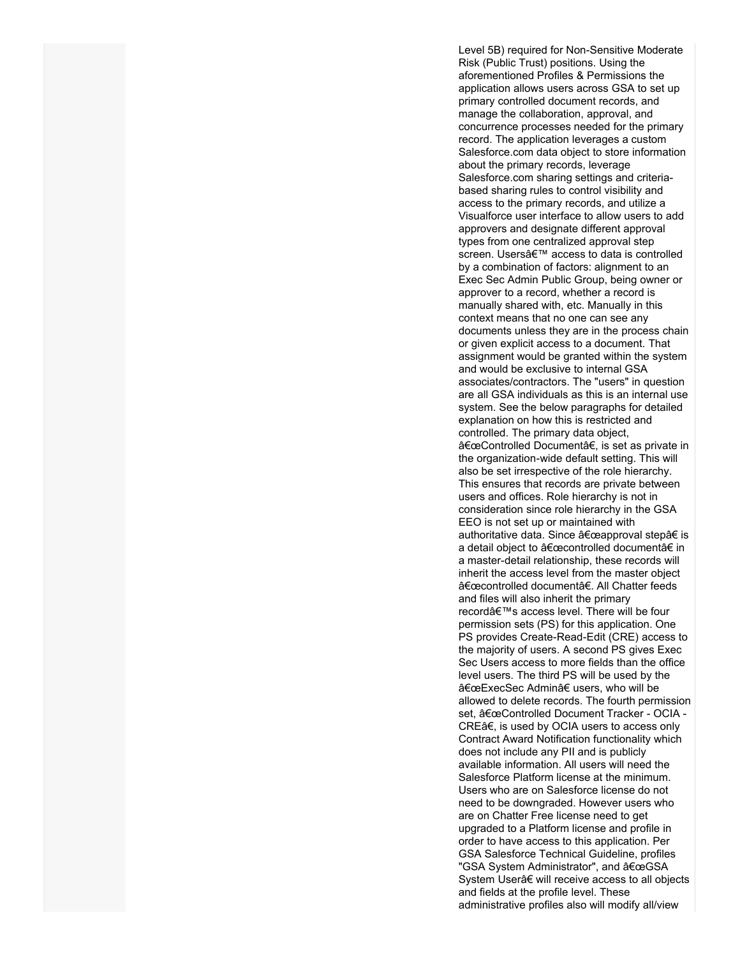Level 5B) required for Non-Sensitive Moderate Risk (Public Trust) positions. Using the aforementioned Profiles & Permissions the application allows users across GSA to set up primary controlled document records, and manage the collaboration, approval, and concurrence processes needed for the primary record. The application leverages a custom Salesforce.com data object to store information about the primary records, leverage Salesforce.com sharing settings and criteriabased sharing rules to control visibility and access to the primary records, and utilize a Visualforce user interface to allow users to add approvers and designate different approval types from one centralized approval step screen. Users' access to data is controlled by a combination of factors: alignment to an Exec Sec Admin Public Group, being owner or approver to a record, whether a record is manually shared with, etc. Manually in this context means that no one can see any documents unless they are in the process chain or given explicit access to a document. That assignment would be granted within the system and would be exclusive to internal GSA associates/contractors. The "users" in question are all GSA individuals as this is an internal use system. See the below paragraphs for detailed explanation on how this is restricted and controlled. The primary data object, "Controlled Documentâ€, is set as private in the organization-wide default setting. This will also be set irrespective of the role hierarchy. This ensures that records are private between users and offices. Role hierarchy is not in consideration since role hierarchy in the GSA EEO is not set up or maintained with authoritative data. Since "approval step†is a detail object to "controlled document†in a master-detail relationship, these records will inherit the access level from the master object "controlled documentâ€. All Chatter feeds and files will also inherit the primary record's access level. There will be four permission sets (PS) for this application. One PS provides Create-Read-Edit (CRE) access to the majority of users. A second PS gives Exec Sec Users access to more fields than the office level users. The third PS will be used by the "ExecSec Admin†users, who will be allowed to delete records. The fourth permission set, "Controlled Document Tracker - OCIA -CREâ€, is used by OCIA users to access only Contract Award Notification functionality which does not include any PII and is publicly available information. All users will need the Salesforce Platform license at the minimum. Users who are on Salesforce license do not need to be downgraded. However users who are on Chatter Free license need to get upgraded to a Platform license and profile in order to have access to this application. Per GSA Salesforce Technical Guideline, profiles "GSA System Administrator", and "GSA System Userâ€ will receive access to all objects and fields at the profile level. These administrative profiles also will modify all/view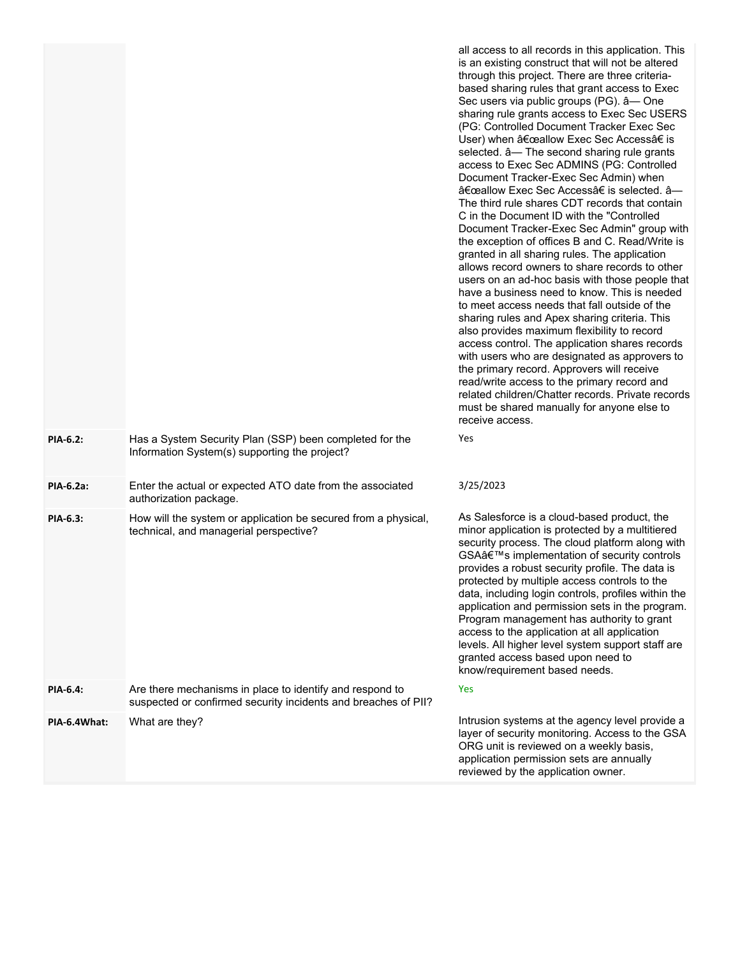|                 |                                                                                                                            | all access to all records in this application. This<br>is an existing construct that will not be altered<br>through this project. There are three criteria-<br>based sharing rules that grant access to Exec<br>Sec users via public groups (PG). â-One<br>sharing rule grants access to Exec Sec USERS<br>(PG: Controlled Document Tracker Exec Sec<br>User) when "allow Exec Sec Access†is<br>selected. $\hat{a}$ — The second sharing rule grants<br>access to Exec Sec ADMINS (PG: Controlled<br>Document Tracker-Exec Sec Admin) when<br>"allow Exec Sec Access†is selected. â-<br>The third rule shares CDT records that contain<br>C in the Document ID with the "Controlled"<br>Document Tracker-Exec Sec Admin" group with<br>the exception of offices B and C. Read/Write is<br>granted in all sharing rules. The application<br>allows record owners to share records to other<br>users on an ad-hoc basis with those people that<br>have a business need to know. This is needed<br>to meet access needs that fall outside of the<br>sharing rules and Apex sharing criteria. This<br>also provides maximum flexibility to record<br>access control. The application shares records<br>with users who are designated as approvers to<br>the primary record. Approvers will receive<br>read/write access to the primary record and<br>related children/Chatter records. Private records<br>must be shared manually for anyone else to<br>receive access. |
|-----------------|----------------------------------------------------------------------------------------------------------------------------|---------------------------------------------------------------------------------------------------------------------------------------------------------------------------------------------------------------------------------------------------------------------------------------------------------------------------------------------------------------------------------------------------------------------------------------------------------------------------------------------------------------------------------------------------------------------------------------------------------------------------------------------------------------------------------------------------------------------------------------------------------------------------------------------------------------------------------------------------------------------------------------------------------------------------------------------------------------------------------------------------------------------------------------------------------------------------------------------------------------------------------------------------------------------------------------------------------------------------------------------------------------------------------------------------------------------------------------------------------------------------------------------------------------------------------------------------------------------|
| PIA-6.2:        | Has a System Security Plan (SSP) been completed for the<br>Information System(s) supporting the project?                   | Yes                                                                                                                                                                                                                                                                                                                                                                                                                                                                                                                                                                                                                                                                                                                                                                                                                                                                                                                                                                                                                                                                                                                                                                                                                                                                                                                                                                                                                                                                 |
| PIA-6.2a:       | Enter the actual or expected ATO date from the associated<br>authorization package.                                        | 3/25/2023                                                                                                                                                                                                                                                                                                                                                                                                                                                                                                                                                                                                                                                                                                                                                                                                                                                                                                                                                                                                                                                                                                                                                                                                                                                                                                                                                                                                                                                           |
| <b>PIA-6.3:</b> | How will the system or application be secured from a physical,<br>technical, and managerial perspective?                   | As Salesforce is a cloud-based product, the<br>minor application is protected by a multitiered<br>security process. The cloud platform along with<br>GSA's implementation of security controls<br>provides a robust security profile. The data is<br>protected by multiple access controls to the<br>data, including login controls, profiles within the<br>application and permission sets in the program.<br>Program management has authority to grant<br>access to the application at all application<br>levels. All higher level system support staff are<br>granted access based upon need to<br>know/requirement based needs.                                                                                                                                                                                                                                                                                                                                                                                                                                                                                                                                                                                                                                                                                                                                                                                                                                 |
| PIA-6.4:        | Are there mechanisms in place to identify and respond to<br>suspected or confirmed security incidents and breaches of PII? | Yes                                                                                                                                                                                                                                                                                                                                                                                                                                                                                                                                                                                                                                                                                                                                                                                                                                                                                                                                                                                                                                                                                                                                                                                                                                                                                                                                                                                                                                                                 |
| PIA-6.4What:    | What are they?                                                                                                             | Intrusion systems at the agency level provide a<br>layer of security monitoring. Access to the GSA<br>ORG unit is reviewed on a weekly basis,<br>application permission sets are annually<br>reviewed by the application owner.                                                                                                                                                                                                                                                                                                                                                                                                                                                                                                                                                                                                                                                                                                                                                                                                                                                                                                                                                                                                                                                                                                                                                                                                                                     |